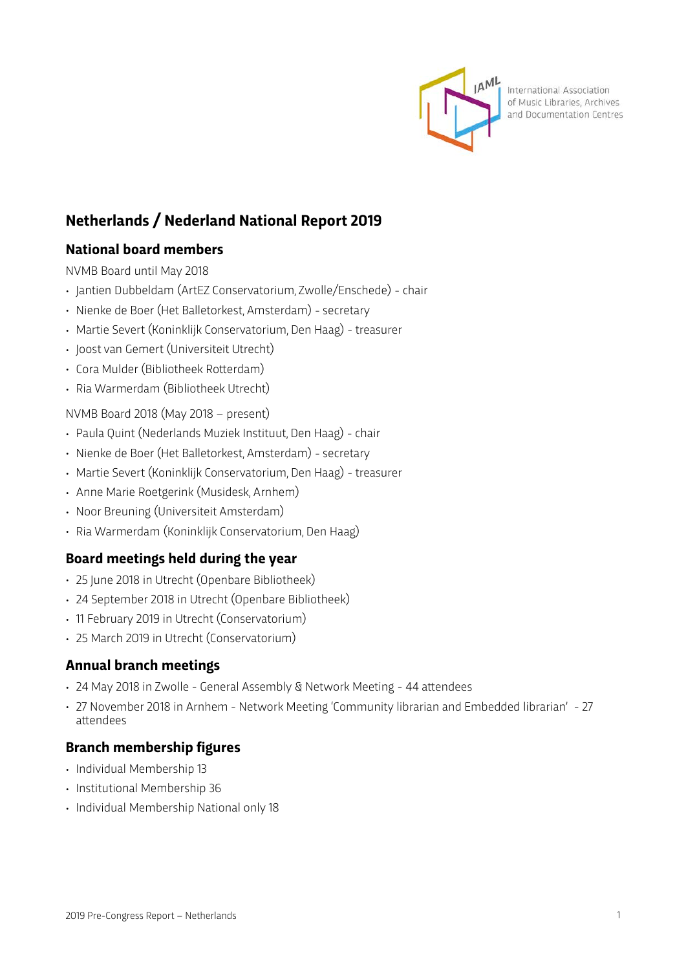

International Association of Music Libraries, Archives and Documentation Centres

# **Netherlands / Nederland National Report 2019**

# **National board members**

NVMB Board until May 2018

- Jantien Dubbeldam (ArtEZ Conservatorium, Zwolle/Enschede) chair
- Nienke de Boer (Het Balletorkest, Amsterdam) secretary
- Martie Severt (Koninklijk Conservatorium, Den Haag) treasurer
- Joost van Gemert (Universiteit Utrecht)
- Cora Mulder (Bibliotheek Rotterdam)
- Ria Warmerdam (Bibliotheek Utrecht)

#### NVMB Board 2018 (May 2018 – present)

- Paula Quint (Nederlands Muziek Instituut, Den Haag) chair
- Nienke de Boer (Het Balletorkest, Amsterdam) secretary
- Martie Severt (Koninklijk Conservatorium, Den Haag) treasurer
- Anne Marie Roetgerink (Musidesk, Arnhem)
- Noor Breuning (Universiteit Amsterdam)
- Ria Warmerdam (Koninklijk Conservatorium, Den Haag)

# **Board meetings held during the year**

- 25 June 2018 in Utrecht (Openbare Bibliotheek)
- 24 September 2018 in Utrecht (Openbare Bibliotheek)
- 11 February 2019 in Utrecht (Conservatorium)
- 25 March 2019 in Utrecht (Conservatorium)

# **Annual branch meetings**

- 24 May 2018 in Zwolle General Assembly & Network Meeting 44 atendees
- 27 November 2018 in Arnhem Network Meeting 'Community librarian and Embedded librarian' 27 atendees

# **Branch membership figures**

- Individual Membership 13
- Institutional Membership 36
- Individual Membership National only 18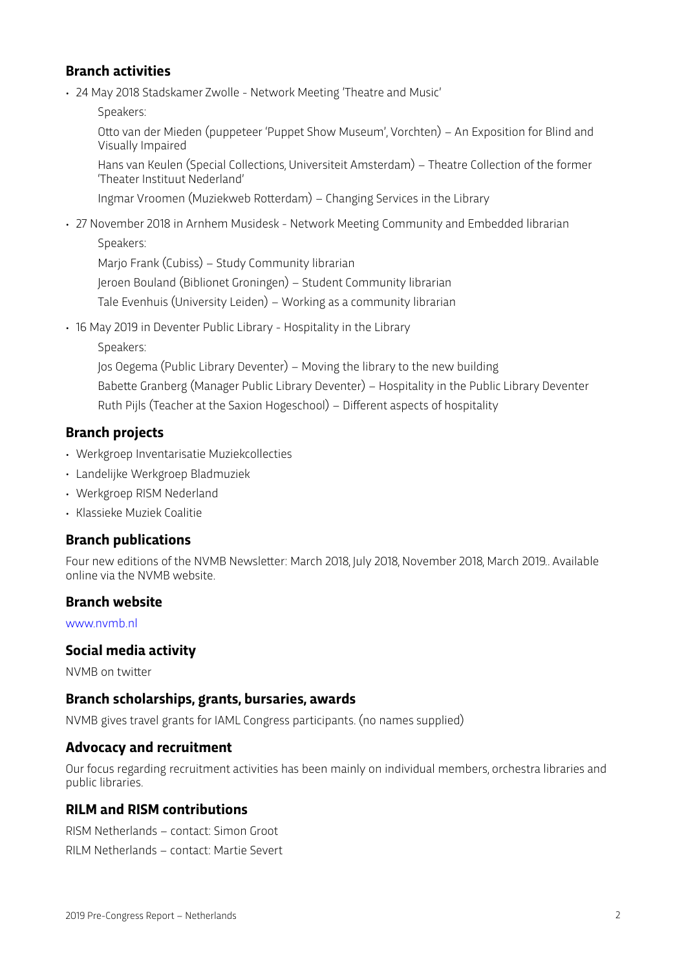### **Branch activities**

• 24 May 2018 Stadskamer Zwolle - Network Meeting 'Theatre and Music'

Speakers:

Otto van der Mieden (puppeteer 'Puppet Show Museum', Vorchten) – An Exposition for Blind and Visually Impaired

Hans van Keulen (Special Collections, Universiteit Amsterdam) – Theatre Collection of the former 'Theater Instituut Nederland'

Ingmar Vroomen (Muziekweb Roterdam) – Changing Services in the Library

• 27 November 2018 in Arnhem Musidesk - Network Meeting Community and Embedded librarian Speakers:

Marjo Frank (Cubiss) – Study Community librarian Jeroen Bouland (Biblionet Groningen) – Student Community librarian Tale Evenhuis (University Leiden) – Working as a community librarian

• 16 May 2019 in Deventer Public Library - Hospitality in the Library

Speakers:

Jos Oegema (Public Library Deventer) – Moving the library to the new building Babette Granberg (Manager Public Library Deventer) – Hospitality in the Public Library Deventer Ruth Pijls (Teacher at the Saxion Hogeschool) – Different aspects of hospitality

### **Branch projects**

- Werkgroep Inventarisatie Muziekcollecties
- Landelijke Werkgroep Bladmuziek
- Werkgroep RISM Nederland
- Klassieke Muziek Coalitie

### **Branch publications**

Four new editions of the NVMB Newsleter: March 2018, July 2018, November 2018, March 2019.. Available online via the NVMB website.

#### **Branch website**

[www.nvmb.nl](http://www.nvmb.nl)

### **Social media activity**

NVMB on twiter

#### **Branch scholarships, grants, bursaries, awards**

NVMB gives travel grants for IAML Congress participants. (no names supplied)

### **Advocacy and recruitment**

Our focus regarding recruitment activities has been mainly on individual members, orchestra libraries and public libraries.

### **RILM and RISM contributions**

RISM Netherlands – contact: Simon Groot

RILM Netherlands – contact: Martie Severt